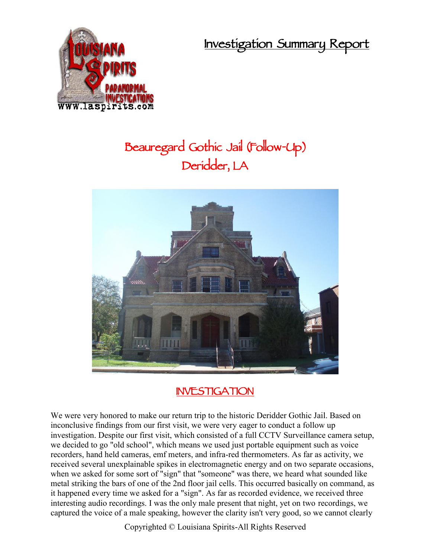**Investigation Summary Report**



## **Beauregard Gothic Jail (Follow-Up) Deridder, LA**



**INVESTIGATION**

We were very honored to make our return trip to the historic Deridder Gothic Jail. Based on inconclusive findings from our first visit, we were very eager to conduct a follow up investigation. Despite our first visit, which consisted of a full CCTV Surveillance camera setup, we decided to go "old school", which means we used just portable equipment such as voice recorders, hand held cameras, emf meters, and infra-red thermometers. As far as activity, we received several unexplainable spikes in electromagnetic energy and on two separate occasions, when we asked for some sort of "sign" that "someone" was there, we heard what sounded like metal striking the bars of one of the 2nd floor jail cells. This occurred basically on command, as it happened every time we asked for a "sign". As far as recorded evidence, we received three interesting audio recordings. I was the only male present that night, yet on two recordings, we captured the voice of a male speaking, however the clarity isn't very good, so we cannot clearly

Copyrighted © Louisiana Spirits-All Rights Reserved